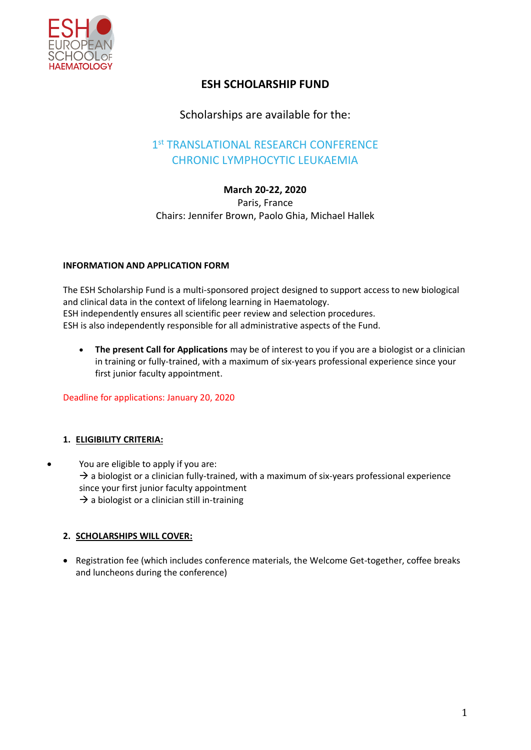

# **ESH SCHOLARSHIP FUND**

## Scholarships are available for the:

# 1st TRANSLATIONAL RESEARCH CONFERENCE CHRONIC LYMPHOCYTIC LEUKAEMIA

## **March 20-22, 2020**

Paris, France Chairs: Jennifer Brown, Paolo Ghia, Michael Hallek

#### **INFORMATION AND APPLICATION FORM**

The ESH Scholarship Fund is a multi-sponsored project designed to support access to new biological and clinical data in the context of lifelong learning in Haematology. ESH independently ensures all scientific peer review and selection procedures. ESH is also independently responsible for all administrative aspects of the Fund.

• **The present Call for Applications** may be of interest to you if you are a biologist or a clinician in training or fully-trained, with a maximum of six-years professional experience since your first junior faculty appointment.

Deadline for applications: January 20, 2020

## **1. ELIGIBILITY CRITERIA:**

• You are eligible to apply if you are:  $\rightarrow$  a biologist or a clinician fully-trained, with a maximum of six-years professional experience since your first junior faculty appointment  $\rightarrow$  a biologist or a clinician still in-training

## **2. SCHOLARSHIPS WILL COVER:**

• Registration fee (which includes conference materials, the Welcome Get-together, coffee breaks and luncheons during the conference)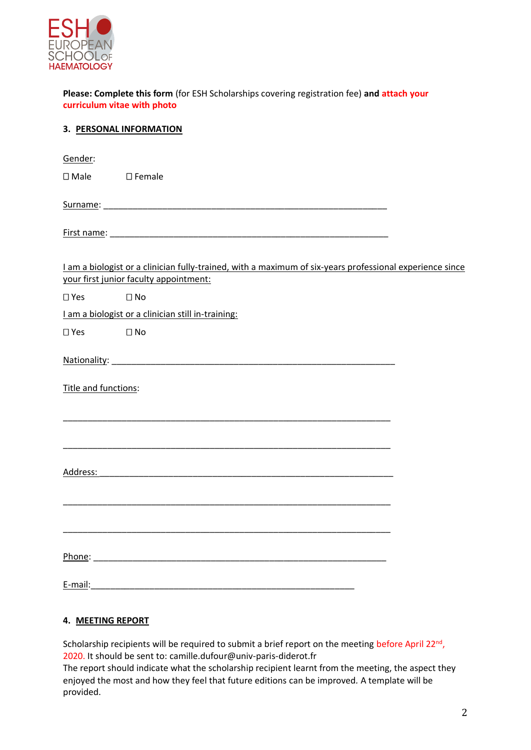

**Please: Complete this form** (for ESH Scholarships covering registration fee) **and attach your curriculum vitae with photo**

|                      | 3. PERSONAL INFORMATION                                                                                                                            |  |
|----------------------|----------------------------------------------------------------------------------------------------------------------------------------------------|--|
| Gender:              |                                                                                                                                                    |  |
| $\square$ Male       | $\square$ Female                                                                                                                                   |  |
|                      |                                                                                                                                                    |  |
|                      |                                                                                                                                                    |  |
|                      | I am a biologist or a clinician fully-trained, with a maximum of six-years professional experience since<br>your first junior faculty appointment: |  |
| $\square$ Yes        | $\square$ No                                                                                                                                       |  |
|                      | I am a biologist or a clinician still in-training:                                                                                                 |  |
| $\square$ Yes        | tical Distribution District District District District District District District District District District Di                                    |  |
|                      |                                                                                                                                                    |  |
| Title and functions: |                                                                                                                                                    |  |
|                      |                                                                                                                                                    |  |
|                      |                                                                                                                                                    |  |
| Address:             |                                                                                                                                                    |  |
|                      |                                                                                                                                                    |  |
|                      |                                                                                                                                                    |  |
|                      |                                                                                                                                                    |  |
|                      |                                                                                                                                                    |  |
|                      | <u>E-mail: __________________________________</u>                                                                                                  |  |

#### **4. MEETING REPORT**

Scholarship recipients will be required to submit a brief report on the meeting before April 22<sup>nd</sup>, 2020. It should be sent to: [camille.dufour@univ-paris-diderot.fr](mailto:camille.dufour@univ-paris-diderot.fr)

The report should indicate what the scholarship recipient learnt from the meeting, the aspect they enjoyed the most and how they feel that future editions can be improved*.* A template will be provided.